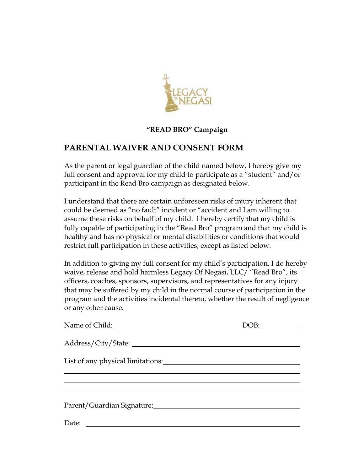

### **"READ BRO" Campaign**

# **PARENTAL WAIVER AND CONSENT FORM**

As the parent or legal guardian of the child named below, I hereby give my full consent and approval for my child to participate as a "student" and/or participant in the Read Bro campaign as designated below.

I understand that there are certain unforeseen risks of injury inherent that could be deemed as "no fault" incident or "accident and I am willing to assume these risks on behalf of my child. I hereby certify that my child is fully capable of participating in the "Read Bro" program and that my child is healthy and has no physical or mental disabilities or conditions that would restrict full participation in these activities, except as listed below.

In addition to giving my full consent for my child's participation, I do hereby waive, release and hold harmless Legacy Of Negasi, LLC/ "Read Bro", its officers, coaches, sponsors, supervisors, and representatives for any injury that may be suffered by my child in the normal course of participation in the program and the activities incidental thereto, whether the result of negligence or any other cause.

| Name of Child: | DOB: |
|----------------|------|
|                |      |
|                |      |
|                |      |
|                |      |
| Date:          |      |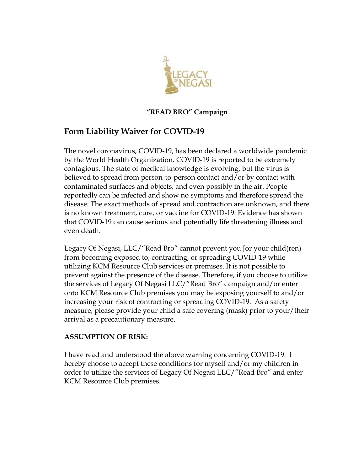

## **"READ BRO" Campaign**

# **Form Liability Waiver for COVID-19**

The novel coronavirus, COVID-19, has been declared a worldwide pandemic by the World Health Organization. COVID-19 is reported to be extremely contagious. The state of medical knowledge is evolving, but the virus is believed to spread from person-to-person contact and/or by contact with contaminated surfaces and objects, and even possibly in the air. People reportedly can be infected and show no symptoms and therefore spread the disease. The exact methods of spread and contraction are unknown, and there is no known treatment, cure, or vaccine for COVID-19. Evidence has shown that COVID-19 can cause serious and potentially life threatening illness and even death.

Legacy Of Negasi, LLC/"Read Bro" cannot prevent you [or your child(ren) from becoming exposed to, contracting, or spreading COVID-19 while utilizing KCM Resource Club services or premises. It is not possible to prevent against the presence of the disease. Therefore, if you choose to utilize the services of Legacy Of Negasi LLC/"Read Bro" campaign and/or enter onto KCM Resource Club premises you may be exposing yourself to and/or increasing your risk of contracting or spreading COVID-19. As a safety measure, please provide your child a safe covering (mask) prior to your/their arrival as a precautionary measure.

### **ASSUMPTION OF RISK:**

I have read and understood the above warning concerning COVID-19. I hereby choose to accept these conditions for myself and/or my children in order to utilize the services of Legacy Of Negasi LLC/"Read Bro" and enter KCM Resource Club premises.